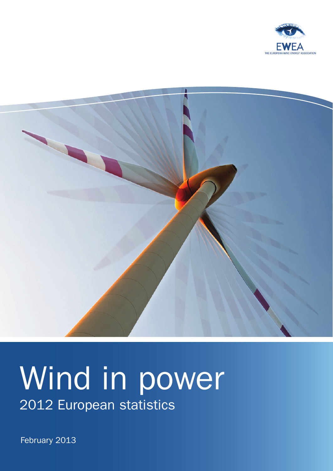



# Wind in power 2012 European statistics

February 2013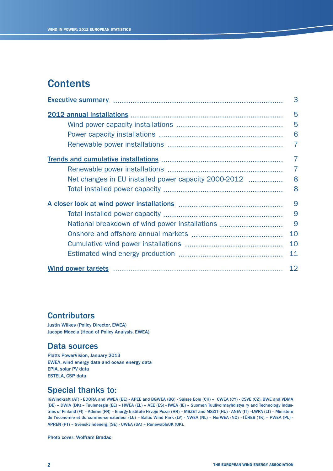## **Contents**

|                                                      | 3              |
|------------------------------------------------------|----------------|
|                                                      | 5              |
|                                                      | 5              |
|                                                      | 6              |
|                                                      | 7              |
|                                                      | $\overline{7}$ |
|                                                      | $\overline{7}$ |
| Net changes in EU installed power capacity 2000-2012 | 8              |
|                                                      | 8              |
|                                                      | 9              |
|                                                      | 9              |
| National breakdown of wind power installations       | 9              |
|                                                      | 10             |
|                                                      | 10             |
|                                                      | 11             |
|                                                      | 12             |

## **Contributors**

Justin Wilkes (Policy Director, EWEA) Jacopo Moccia (Head of Policy Analysis, EWEA)

## Data sources

Platts PowerVision, January 2013 EWEA, wind energy data and ocean energy data EPIA, solar PV data ESTELA, CSP data

## Special thanks to:

IGWindkraft (AT) - EDORA and VWEA (BE) - APEE and BGWEA (BG) - Suisse Eole (CH) – CWEA (CY) - CSVE (CZ), BWE and VDMA (DE) – DWIA (DK) – Tuulenergia (EE) – HWEA (EL) – AEE (ES) - IWEA (IE) – Suomen Tuulivoimayhdistys ry and Technology industries of Finland (FI) – Ademe (FR) – Energy Institute Hrvoje Pozar (HR) – MSZET and MSZIT (HU) - ANEV (IT) –LWPA (LT) – Ministère de l'économie et du commerce extérieur (LU) – Baltic Wind Park (LV) - NWEA (NL) – NorWEA (NO) –TÜREB (TK) – PWEA (PL) - APREN (PT) – Svenskvindenergi (SE) - UWEA (UA) – RenewableUK (UK).

Photo cover: Wolfram Bradac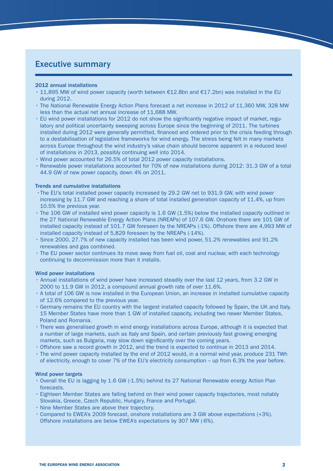## Executive summary

#### 2012 annual installations

- $\cdot$  11,895 MW of wind power capacity (worth between €12.8bn and €17.2bn) was installed in the EU during 2012.
- • The National Renewable Energy Action Plans forecast a net increase in 2012 of 11,360 MW, 328 MW less than the actual net annual increase of 11,688 MW.
- EU wind power installations for 2012 do not show the significantly negative impact of market, regulatory and political uncertainty sweeping across Europe since the beginning of 2011. The turbines installed during 2012 were generally permitted, financed and ordered prior to the crisis feeding through to a destabilisation of legislative frameworks for wind energy. The stress being felt in many markets across Europe throughout the wind industry's value chain should become apparent in a reduced level of installations in 2013, possibly continuing well into 2014.
- • Wind power accounted for 26.5% of total 2012 power capacity installations.
- • Renewable power installations accounted for 70% of new installations during 2012: 31.3 GW of a total 44.9 GW of new power capacity, down 4% on 2011.

#### Trends and cumulative installations

- •The EU's total installed power capacity increased by 29.2 GW net to 931.9 GW, with wind power increasing by 11.7 GW and reaching a share of total installed generation capacity of 11.4%, up from 10.5% the previous year.
- • The 106 GW of installed wind power capacity is 1.6 GW (1.5%) below the installed capacity outlined in the 27 National Renewable Energy Action Plans (NREAPs) of 107.6 GW. Onshore there are 101 GW of installed capacity instead of 101.7 GW foreseen by the NREAPs (-1%). Offshore there are 4,993 MW of installed capacity instead of 5,829 foreseen by the NREAPs (-14%).
- • Since 2000, 27.7% of new capacity installed has been wind power, 51.2% renewables and 91.2% renewables and gas combined.
- The EU power sector continues its move away from fuel oil, coal and nuclear, with each technology continuing to decommission more than it installs.

#### Wind power installations

- Annual installations of wind power have increased steadily over the last 12 years, from 3.2 GW in 2000 to 11.9 GW in 2012, a compound annual growth rate of over 11.6%.
- • A total of 106 GW is now installed in the European Union, an increase in installed cumulative capacity of 12.6% compared to the previous year.
- • Germany remains the EU country with the largest installed capacity followed by Spain, the UK and Italy. 15 Member States have more than 1 GW of installed capacity, including two newer Member States, Poland and Romania.
- There was generalised growth in wind energy installations across Europe, although it is expected that a number of large markets, such as Italy and Spain, and certain previously fast growing emerging markets, such as Bulgaria, may slow down significantly over the coming years.
- • Offshore saw a record growth in 2012, and the trend is expected to continue in 2013 and 2014.
- • The wind power capacity installed by the end of 2012 would, in a normal wind year, produce 231 TWh of electricity, enough to cover 7% of the EU's electricity consumption – up from 6.3% the year before.

#### Wind power targets

- • Overall the EU is lagging by 1.6 GW (-1.5%) behind its 27 National Renewable energy Action Plan forecasts.
- • Eighteen Member States are falling behind on their wind power capacity trajectories, most notably Slovakia, Greece, Czech Republic, Hungary, France and Portugal.
- • Nine Member States are above their trajectory.
- • Compared to EWEA's 2009 forecast, onshore installations are 3 GW above expectations (+3%). Offshore installations are below EWEA's expectations by 307 MW (-6%).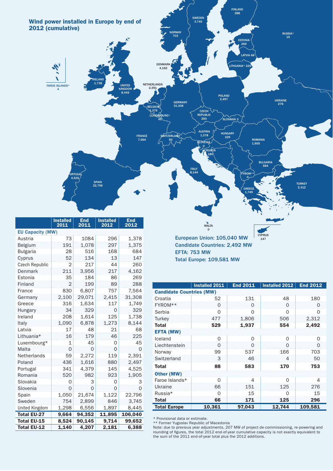

|                         | ınstalled<br>2011     | ⊏nu<br>2011 | installed<br>2012 | cna<br>2012 |  |  |  |
|-------------------------|-----------------------|-------------|-------------------|-------------|--|--|--|
| <b>EU Capacity (MW)</b> |                       |             |                   |             |  |  |  |
| Austria                 | 73                    | 1084        | 296               | 1,378       |  |  |  |
| Belgium                 | 191                   | 1,078       | 297               | 1,375       |  |  |  |
| <b>Bulgaria</b>         | 28                    | 516         | 168               | 684         |  |  |  |
| Cyprus                  | 52                    | 134         | 13                | 147         |  |  |  |
| Czech Republic          | $\overline{2}$<br>217 |             | 44                | 260         |  |  |  |
| Denmark                 | 3,956<br>211          |             | 217               | 4,162       |  |  |  |
| Estonia                 | 35                    | 184         |                   | 269         |  |  |  |
| Finland                 | $\overline{2}$        | 199         | 89                | 288         |  |  |  |
| France                  | 830                   | 6,807       | 757               | 7,564       |  |  |  |
| Germany                 | 2,100                 | 29,071      | 2,415             | 31,308      |  |  |  |
| Greece                  | 316<br>1,634          |             | 117               | 1,749       |  |  |  |
| Hungary                 | 34                    | 329         | Ο                 | 329         |  |  |  |
| Ireland                 | 208                   | 1,614       | 125               | 1,738       |  |  |  |
| Italy                   | 1,090                 | 6,878       | 1,273             | 8,144       |  |  |  |
| Latvia                  | 17                    | 48          | 21                | 68          |  |  |  |
| Lithuania*              | 16                    | 179         | 46                | 225         |  |  |  |
| Luxembourg*             | 1                     | 45          | 0                 | 45          |  |  |  |
| Malta                   | 0                     | Ω           | Ο                 | 0           |  |  |  |
| Netherlands             | 59                    | 2,272       | 119               | 2,391       |  |  |  |
| Poland                  | 436                   | 1,616       | 880               | 2,497       |  |  |  |
| Portugal                | 341                   | 4,379       | 145               | 4,525       |  |  |  |
| Romania                 | 520<br>982            |             | 923               | 1,905       |  |  |  |
| Slovakia                | 0                     | 3           | 0                 | 3           |  |  |  |
| Slovenia                | $\Omega$              | $\Omega$    | 0                 | 0           |  |  |  |
| Spain                   | 1,050                 | 21,674      | 1,122             | 22,796      |  |  |  |
| Sweden                  | 754                   | 2,899       | 846               | 3,745       |  |  |  |
| United Kingdom          | 1,298                 | 6,556       | 1,897             | 8,445       |  |  |  |
| <b>Total EU-27</b>      | 9,664                 | 94,352      | 11,895            | 106,040     |  |  |  |
| <b>Total EU-15</b>      | 8,524                 | 90,145      | 9,714             | 99,652      |  |  |  |
| <b>Total EU-12</b>      | 1.140                 | 4,207       | 2.181             | 6,388       |  |  |  |

European Union: 105,040 MW Candidate Countries: 2,492 MW EFTA: 753 MW Total Europe: 109,581 MW

MALTA 0

|                                 | Installed 2011 | <b>End 2011</b> | Installed 2012 | <b>End 2012</b> |  |  |  |
|---------------------------------|----------------|-----------------|----------------|-----------------|--|--|--|
| <b>Candidate Countries (MW)</b> |                |                 |                |                 |  |  |  |
| Croatia                         | 52             | 131             | 48             | 180             |  |  |  |
| FYROM**                         | 0              | O               | O              | O               |  |  |  |
| Serbia                          | O              | $\Omega$        | $\Omega$       | $\Omega$        |  |  |  |
| Turkey                          | 477            | 1,806           | 506            | 2,312           |  |  |  |
| Total                           | 529            | 1,937           | 554            | 2,492           |  |  |  |
| <b>EFTA (MW)</b>                |                |                 |                |                 |  |  |  |
| Iceland                         | O              | ∩               | $\Omega$       | O               |  |  |  |
| Liechtenstein                   | O              | 0               | O              | O               |  |  |  |
| Norway                          | 99             | 537             | 166            | 703             |  |  |  |
| Switzerland                     | 3              | 46              | 4              | 50              |  |  |  |
| <b>Total</b>                    | 88             | 583             | 170            | 753             |  |  |  |
| Other (MW)                      |                |                 |                |                 |  |  |  |
| Faroe Islands*                  | $\Omega$       | 4               | $\Omega$       | 4               |  |  |  |
| Ukraine                         | 66             | 151             | 125            | 276             |  |  |  |
| Russia*                         | O              | 15              | O              | 15              |  |  |  |
| <b>Total</b>                    | 66             | 171             | 125            | 296             |  |  |  |
| <b>Total Europe</b>             | 10,361         | 97,043          | 12,744         | 109,581         |  |  |  |

CYPRUS 147

\* Provisional data or estimate.

\*\* Former Yugoslav Republic of Macedonia

Note: due to previous year adjustments, 207 MW of project de-commissioning, re-powering and rounding of figures, the total 2012 end-of-year cumulative capacity is not exactly equivalent to the sum of the 2011 end-of-year total plus the 2012 additions.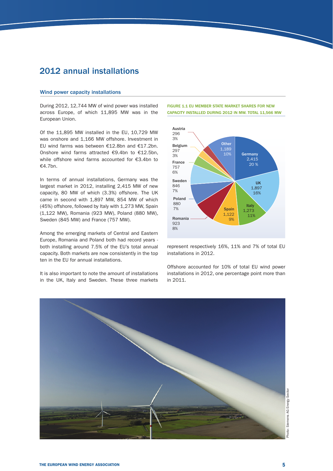## 2012 annual installations

#### Wind power capacity installations

During 2012, 12,744 MW of wind power was installed across Europe, of which 11,895 MW was in the European Union.

Of the 11,895 MW installed in the EU, 10,729 MW was onshore and 1,166 MW offshore. Investment in EU wind farms was between €12.8bn and €17.2bn. Onshore wind farms attracted  $€9.4$ bn to  $€12.5$ bn, while offshore wind farms accounted for  $£3.4$ bn to €4.7bn.

In terms of annual installations, Germany was the largest market in 2012, installing 2,415 MW of new capacity, 80 MW of which (3.3%) offshore. The UK came in second with 1,897 MW, 854 MW of which (45%) offshore, followed by Italy with 1,273 MW, Spain (1,122 MW), Romania (923 MW), Poland (880 MW), Sweden (845 MW) and France (757 MW).

Among the emerging markets of Central and Eastern Europe, Romania and Poland both had record years both installing around 7.5% of the EU's total annual capacity. Both markets are now consistently in the top ten in the EU for annual installations.

It is also important to note the amount of installations in the UK, Italy and Sweden. These three markets





represent respectively 16%, 11% and 7% of total EU installations in 2012.

Offshore accounted for 10% of total EU wind power installations in 2012, one percentage point more than in 2011.

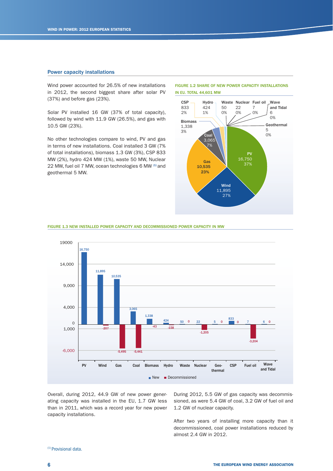#### Power capacity installations

Wind power accounted for 26.5% of new installations in 2012, the second biggest share after solar PV  $(37%)$  and before gas  $(23%).$ 

Solar PV installed 16 GW (37% of total capacity), followed by wind with  $11.9$  GW (26.5%), and gas with 10.5 GW (23%).

No other technologies compare to wind, PV and gas in terms of new installations. Coal installed 3 GW (7%) of total installations), biomass 1.3 GW (3%), CSP 833 MW (2%), hydro 424 MW (1%), waste 50 MW, Nuclear 22 MW, fuel oil 7 MW, ocean technologies 6 MW (1) and geothermal 5 MW.



FIGURE 1.2 SHARE OF NEW POWER CAPACITY INSTALLATIONS

#### FIGURE 1.3 NEW INSTALLED POWER CAPACITY AND DECOMMISSIONED POWER CAPACITY IN MW



Overall, during 2012, 44.9 GW of new power generating capacity was installed in the EU, 1.7 GW less than in 2011, which was a record year for new power capacity installations.

During 2012, 5.5 GW of gas capacity was decommissioned, as were 5.4 GW of coal, 3.2 GW of fuel oil and 1.2 GW of nuclear capacity.

After two vears of installing more capacity than it decommissioned, coal power installations reduced by almost 2.4 GW in 2012.

#### (1) Provisional data.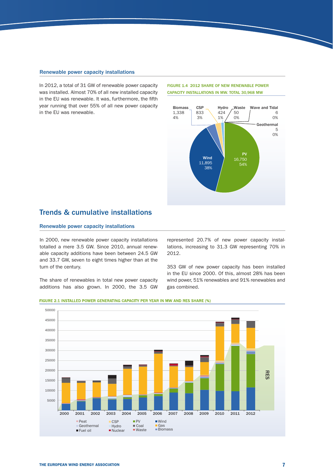#### Renewable power capacity installations

In 2012, a total of 31 GW of renewable power capacity was installed. Almost 70% of all new installed capacity in the EU was renewable. It was, furthermore, the fifth year running that over 55% of all new power capacity in the EU was renewable.

#### FIGURE 1.4 2012 SHARE OF NEW RENEWABLE POWER CAPACITY INSTALLATIONS IN MW. TOTAL 30,968 MW



### Trends & cumulative installations

#### Renewable power capacity installations

In 2000, new renewable power capacity installations totalled a mere 3.5 GW. Since 2010, annual renewable capacity additions have been between 24.5 GW and 33.7 GW, seven to eight times higher than at the turn of the century.

The share of renewables in total new power capacity additions has also grown. In 2000, the 3.5 GW

represented 20.7% of new power capacity installations, increasing to 31.3 GW representing 70% in 2012.

353 GW of new power capacity has been installed in the FU since 2000. Of this, almost 28% has been wind power, 51% renewables and 91% renewables and gas combined.



#### FIGURE 2.1 INSTALLED POWER GENERATING CAPACITY PER YEAR IN MW AND RES SHARE (%)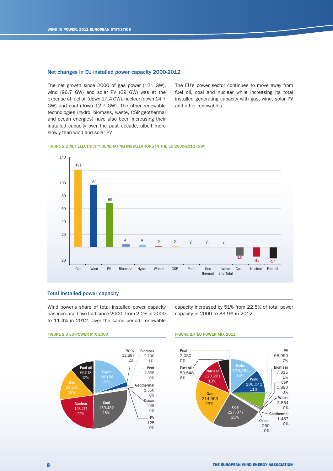#### Net changes in EU installed power capacity 2000-2012

The net growth since 2000 of gas power (121 GW), wind (96.7 GW) and solar PV (69 GW) was at the expense of fuel oil (down 17.4 GW), nuclear (down 14.7) GW) and coal (down 12.7 GW). The other renewable technologies (hydro, biomass, waste, CSP, geothermal and ocean energies) have also been increasing their installed capacity over the past decade, albeit more slowly than wind and solar PV.

The EU's power sector continues to move away from fuel oil, coal and nuclear while increasing its total installed generating capacity with gas, wind, solar PV and other renewables.

#### FIGURE 2.2 NET ELECTRICITY GENERATING INSTALLATIONS IN THE EU 2000-2012 (GW)



#### Total installed power capacity

Wind power's share of total installed power capacity has increased five-fold since 2000; from 2.2% in 2000 to 11.4% in 2012. Over the same period, renewable capacity increased by 51% from 22.5% of total power capacity in 2000 to 33.9% in 2012.

FIGURE 2.3 EU POWER MIX 2000 FIGURE 2.4 EU POWER MIX 2012



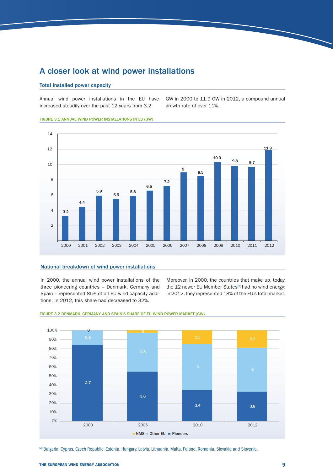## A closer look at wind power installations

#### Total installed power capacity

Annual wind power installations in the EU have increased steadily over the past 12 years from 3.2

GW in 2000 to 11.9 GW in 2012, a compound annual growth rate of over 11%.

FIGURE 3.1 ANNUAL WIND POWER INSTALLATIONS IN EU (GW)



#### National breakdown of wind power installations

In 2000, the annual wind power installations of the three pioneering countries - Denmark, Germany and Spain – represented 85% of all EU wind capacity additions. In 2012, this share had decreased to 32%.

Moreover, in 2000, the countries that make up, today, the 12 newer EU Member States<sup>(2)</sup> had no wind energy; in 2012, they represented 18% of the EU's total market.



#### FIGURE 3.2 DENMARK, GERMANY AND SPAIN'S SHARE OF EU WIND POWER MARKET (GW)

(2) Bulgaria, Cyprus, Czech Republic, Estonia, Hungary, Latvia, Lithuania, Malta, Poland, Romania, Slovakia and Slovenia.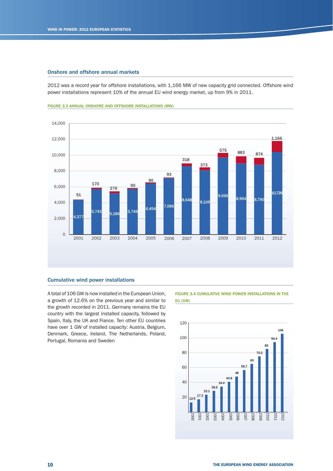#### Onshore and offshore annual markets

2012 was a record year for offshore installations, with 1,166 MW of new capacity grid connected. Offshore wind power installations represent 10% of the annual EU wind energy market, up from 9% in 2011.





#### Cumulative wind power installations

A total of 106 GW is now installed in the European Union, a growth of 12.6% on the previous year and similar to the growth recorded in 2011. Germany remains the EU country with the largest installed capacity, followed by Spain, Italy, the UK and France. Ten other EU countries have over 1 GW of installed capacity: Austria, Belgium, Denmark, Greece, Ireland, The Netherlands, Poland, Portugal, Romania and Sweden

FIGURE 3.4 CUMULATIVE WIND POWER INSTALLATIONS IN THE EU (GW)

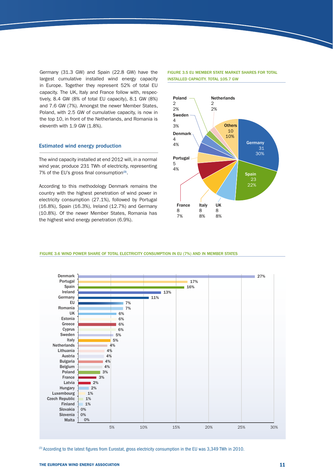Germany (31.3 GW) and Spain (22.8 GW) have the largest cumulative installed wind energy capacity in Europe. Together they represent 52% of total EU capacity. The UK, Italy and France follow with, respectively,  $8.4$  GW ( $8\%$  of total EU capacity),  $8.1$  GW ( $8\%$ ) and 7.6 GW (7%). Amongst the newer Member States, Poland, with 2.5 GW of cumulative capacity, is now in the top 10, in front of the Netherlands, and Romania is eleventh with 1.9 GW (1.8%).

#### Estimated wind energy production

The wind capacity installed at end 2012 will, in a normal wind year, produce 231 TWh of electricity, representing 7% of the EU's gross final consumption $(3)$ .

According to this methodology Denmark remains the country with the highest penetration of wind power in electricity consumption (27.1%), followed by Portugal (16.8%), Spain (16.3%), Ireland (12.7%) and Germany (10.8%). Of the newer Member States, Romania has the highest wind energy penetration (6.9%).

#### FIGURE 3.5 EU MEMBER STATE MARKET SHARES FOR TOTAL INSTALLED CAPACITY. TOTAL 105.7 GW



FIGURE 3.6 WIND POWER SHARE OF TOTAL ELECTRICITY CONSUMPTION IN EU (7%) AND IN MEMBER STATES



 $(3)$  According to the latest figures from Eurostat, gross electricity consumption in the EU was 3,349 TWh in 2010.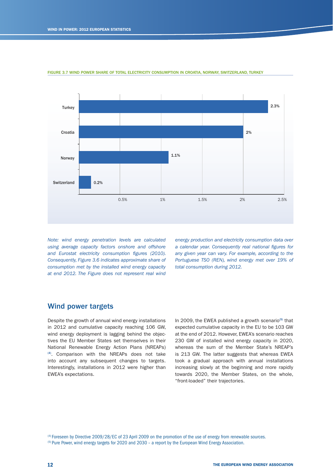

FIGURE 3.7 WIND POWER SHARE OF TOTAL ELECTRICITY CONSUMPTION IN CROATIA, NORWAY, SWITZERLAND, TURKEY

*Note: wind energy penetration levels are calculated using average capacity factors onshore and offshore*  and Eurostat electricity consumption figures (2010). *Consequently, Figure 3.6 indicates approximate share of consumption met by the installed wind energy capacity at end 2012. The Figure does not represent real wind*  *energy production and electricity consumption data over*  a calendar year. Consequently real national figures for *any given year can vary. For example, according to the Portuguese TSO (REN), wind energy met over 19% of total consumption during 2012.*

#### Wind power targets

Despite the growth of annual wind energy installations in 2012 and cumulative capacity reaching 106 GW, wind energy deployment is lagging behind the objectives the EU Member States set themselves in their National Renewable Energy Action Plans (NREAPs) <sup>(4)</sup>. Comparison with the NREAPs does not take into account any subsequent changes to targets. Interestingly, installations in 2012 were higher than EWEA's expectations.

In 2009, the EWEA published a growth scenario<sup>(5)</sup> that expected cumulative capacity in the EU to be 103 GW at the end of 2012. However, EWEA's scenario reaches 230 GW of installed wind energy capacity in 2020, whereas the sum of the Member State's NREAP's is 213 GW. The latter suggests that whereas EWEA took a gradual approach with annual installations increasing slowly at the beginning and more rapidly towards 2020, the Member States, on the whole, "front-loaded" their trajectories.

(4) Foreseen by Directive 2009/28/EC of 23 April 2009 on the promotion of the use of energy from renewable sources. (5) Pure Power, wind energy targets for 2020 and 2030 – a report by the European Wind Energy Association.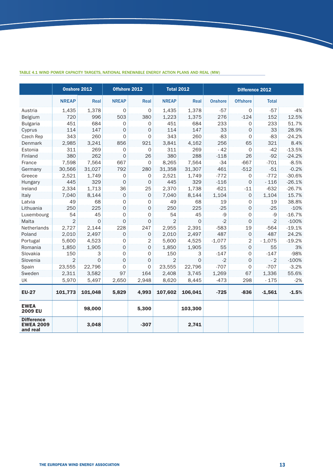|                                                   | Onshore 2012   |             | Offshore 2012       |                     |                | <b>Total 2012</b> |                | Difference 2012     |              |          |
|---------------------------------------------------|----------------|-------------|---------------------|---------------------|----------------|-------------------|----------------|---------------------|--------------|----------|
|                                                   | <b>NREAP</b>   | Real        | <b>NREAP</b>        | Real                | <b>NREAP</b>   | Real              | <b>Onshore</b> | <b>Offshore</b>     | <b>Total</b> |          |
| Austria                                           | 1,435          | 1,378       | 0                   | 0                   | 1,435          | 1,378             | $-57$          | 0                   | $-57$        | $-4%$    |
| Belgium                                           | 720            | 996         | 503                 | 380                 | 1,223          | 1,375             | 276            | $-124$              | 152          | 12.5%    |
| <b>Bulgaria</b>                                   | 451            | 684         | 0                   | 0                   | 451            | 684               | 233            | $\mathbf 0$         | 233          | 51.7%    |
| Cyprus                                            | 114            | 147         | $\mathbf 0$         | 0                   | 114            | 147               | 33             | $\mathbf 0$         | 33           | 28.9%    |
| Czech Rep                                         | 343            | 260         | 0                   | 0                   | 343            | 260               | $-83$          | $\mathbf 0$         | $-83$        | $-24.2%$ |
| <b>Denmark</b>                                    | 2,985          | 3,241       | 856                 | 921                 | 3,841          | 4,162             | 256            | 65                  | 321          | 8.4%     |
| Estonia                                           | 311            | 269         | $\mathbf 0$         | 0                   | 311            | 269               | $-42$          | $\mathbf 0$         | $-42$        | $-13.5%$ |
| Finland                                           | 380            | 262         | $\mathsf{O}\xspace$ | 26                  | 380            | 288               | $-118$         | 26                  | $-92$        | $-24.2%$ |
| France                                            | 7,598          | 7,564       | 667                 | $\mathbf{O}$        | 8,265          | 7,564             | $-34$          | $-667$              | $-701$       | $-8.5%$  |
| Germany                                           | 30,566         | 31,027      | 792                 | 280                 | 31,358         | 31,307            | 461            | $-512$              | $-51$        | $-0.2%$  |
| Greece                                            | 2,521          | 1,749       | 0                   | 0                   | 2,521          | 1,749             | $-772$         | 0                   | $-772$       | $-30.6%$ |
| Hungary                                           | 445            | 329         | $\mathsf O$         | $\circ$             | 445            | 329               | $-116$         | $\mathbf 0$         | $-116$       | $-26.1%$ |
| Ireland                                           | 2,334          | 1,713       | 36                  | 25                  | 2,370          | 1,738             | $-621$         | $-11$               | $-632$       | $-26.7%$ |
| Italy                                             | 7,040          | 8,144       | $\mathbf 0$         | $\mathbf 0$         | 7,040          | 8,144             | 1,104          | $\mathbf{O}$        | 1,104        | 15.7%    |
| Latvia                                            | 49             | 68          | 0                   | 0                   | 49             | 68                | 19             | 0                   | 19           | 38.8%    |
| Lithuania                                         | 250            | 225         | $\overline{0}$      | 0                   | 250            | 225               | $-25$          | $\mathsf O$         | $-25$        | $-10%$   |
| Luxembourg                                        | 54             | 45          | 0                   | 0                   | 54             | 45                | $-9$           | 0                   | -9           | $-16.7%$ |
| Malta                                             | $\overline{2}$ | $\Omega$    | $\mathbf 0$         | 0                   | $\overline{2}$ | $\Omega$          | $-2$           | $\mathbf{O}$        | $-2$         | $-100%$  |
| Netherlands                                       | 2,727          | 2,144       | 228                 | 247                 | 2,955          | 2,391             | $-583$         | 19                  | $-564$       | $-19.1%$ |
| Poland                                            | 2,010          | 2,497       | $\mathbf 0$         | 0                   | 2,010          | 2,497             | 487            | $\mathbf 0$         | 487          | 24.2%    |
| Portugal                                          | 5,600          | 4,523       | 0                   | 2                   | 5,600          | 4,525             | $-1,077$       | 2                   | $-1,075$     | $-19.2%$ |
| Romania                                           | 1,850          | 1,905       | 0                   | 0                   | 1,850          | 1,905             | 55             | 0                   | 55           | 3%       |
| Slovakia                                          | 150            | 3           | $\mathbf 0$         | 0                   | 150            | 3                 | $-147$         | $\mathbf 0$         | $-147$       | -98%     |
| Slovenia                                          | $\overline{2}$ | $\mathbf 0$ | $\mathbf 0$         | $\mathsf{O}\xspace$ | 2              | $\mathbf 0$       | $-2$           | $\mathbf 0$         | $-2$         | $-100%$  |
| Spain                                             | 23,555         | 22,796      | $\mathbf 0$         | $\mathsf{O}\xspace$ | 23,555         | 22,796            | $-707$         | $\mathsf{O}\xspace$ | $-707$       | $-3.2%$  |
| Sweden                                            | 2,311          | 3,582       | 97                  | 164                 | 2,408          | 3,745             | 1,269          | 67                  | 1,336        | 55.6%    |
| <b>UK</b>                                         | 5,970          | 5,497       | 2,650               | 2,948               | 8,620          | 8,445             | $-473$         | 298                 | $-175$       | $-2%$    |
| <b>EU-27</b>                                      | 101,773        | 101,048     | 5,829               | 4,993               | 107,602        | 106,041           | $-725$         | $-836$              | $-1,561$     | $-1.5%$  |
| <b>EWEA</b><br>2009 EU                            |                | 98,000      |                     | 5,300               |                | 103,300           |                |                     |              |          |
| <b>Difference</b><br><b>EWEA 2009</b><br>and real |                | 3,048       |                     | $-307$              |                | 2,741             |                |                     |              |          |

#### TABLE 4.1 wind power capacity targets, National Renewable Energy Action Plans and real (MW)